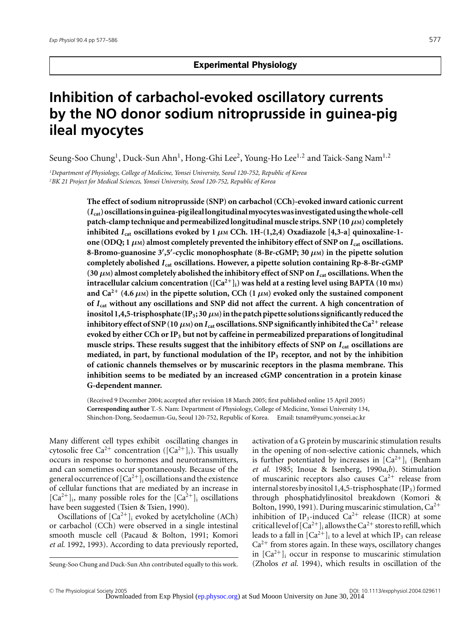# **Inhibition of carbachol-evoked oscillatory currents by the NO donor sodium nitroprusside in guinea-pig ileal myocytes**

Seung-Soo Chung<sup>1</sup>, Duck-Sun Ahn<sup>1</sup>, Hong-Ghi Lee<sup>2</sup>, Young-Ho Lee<sup>1,2</sup> and Taick-Sang Nam<sup>1,2</sup>

*1 Department of Physiology, College of Medicine, Yonsei University, Seoul 120-752, Republic of Korea 2 BK 21 Project for Medical Sciences, Yonsei University, Seoul 120-752, Republic of Korea*

> **The effect of sodium nitroprusside (SNP) on carbachol (CCh)-evoked inward cationic current (***I* **cat)oscillationsinguinea-pigileallongitudinalmyocyteswasinvestigatedusingthewhole-cell** patch-clamp technique and permeabilized longitudinal muscle strips. SNP  $(10 \mu)$  completely **inhibited**  $I_{cat}$  oscillations evoked by 1  $\mu$ M CCh. 1H-(1,2,4) Oxadiazole [4,3-a] quinoxaline-1**one (ODQ;** 1  $\mu$ M) almost completely prevented the inhibitory effect of SNP on  $I_{cat}$  oscillations. **8-Bromo-guanosine 3 ,5 -cyclic monophosphate (8-Br-cGMP; 30** *µ***M) in the pipette solution completely abolished** *I* **cat oscillations. However, a pipette solution containing Rp-8-Br-cGMP** (30  $\mu$ M) almost completely abolished the inhibitory effect of SNP on  $I_{cat}$  oscillations. When the **intracellular calcium concentration** ( $[Ca^{2+}]$ <sub>i</sub>) was held at a resting level using BAPTA (10 m<sub>M</sub>) and  $Ca^{2+}$  (4.6  $\mu$ M) in the pipette solution, CCh (1  $\mu$ M) evoked only the sustained component **of** *I* **cat without any oscillations and SNP did not affect the current. A high concentration of** inositol 1,4,5-trisphosphate (IP<sub>3</sub>; 30  $\mu$ M) in the patch pipette solutions significantly reduced the **inhibitory effect of SNP (10**  $\mu$ M) on  $I_{cat}$  oscillations. SNP significantly inhibited the Ca<sup>2+</sup> release **evoked by either CCh or IP3 but not by caffeine in permeabilized preparations of longitudinal muscle strips. These results suggest that the inhibitory effects of SNP on** *I* **cat oscillations are mediated, in part, by functional modulation of the IP3 receptor, and not by the inhibition of cationic channels themselves or by muscarinic receptors in the plasma membrane. This inhibition seems to be mediated by an increased cGMP concentration in a protein kinase G-dependent manner.**

(Received 9 December 2004; accepted after revision 18 March 2005; first published online 15 April 2005) **Corresponding author** T.-S. Nam: Department of Physiology, College of Medicine, Yonsei University 134, Shinchon-Dong, Seodaemun-Gu, Seoul 120-752, Republic of Korea. Email: tsnam@yumc.yonsei.ac.kr

Many different cell types exhibit oscillating changes in cytosolic free  $Ca^{2+}$  concentration ( $[Ca^{2+}]_i$ ). This usually occurs in response to hormones and neurotransmitters, and can sometimes occur spontaneously. Because of the general occurrence of  $[Ca^{2+}]$ <sub>i</sub> oscillations and the existence of cellular functions that are mediated by an increase in  $[Ca^{2+}]$ <sub>i</sub>, many possible roles for the  $[Ca^{2+}]$ <sub>i</sub> oscillations have been suggested (Tsien & Tsien, 1990).

Oscillations of  $[Ca^{2+}]_i$  evoked by acetylcholine (ACh) or carbachol (CCh) were observed in a single intestinal smooth muscle cell (Pacaud & Bolton, 1991; Komori *et al.* 1992, 1993). According to data previously reported,

activation of a G protein by muscarinic stimulation results in the opening of non-selective cationic channels, which is further potentiated by increases in  $[Ca^{2+}]$ ; (Benham *et al.* 1985; Inoue & Isenberg, 1990*a*,*b*). Stimulation of muscarinic receptors also causes  $Ca^{2+}$  release from internal stores by inositol 1,4,5-trisphosphate  $(IP_3)$  formed through phosphatidylinositol breakdown (Komori & Bolton, 1990, 1991). During muscarinic stimulation,  $Ca^{2+}$ inhibition of IP<sub>3</sub>-induced  $Ca^{2+}$  release (IICR) at some critical level of  $[Ca^{2+}]$ <sub>i</sub> allows the  $Ca^{2+}$  stores to refill, which leads to a fall in  $[Ca^{2+}]_i$  to a level at which IP<sub>3</sub> can release  $Ca<sup>2+</sup>$  from stores again. In these ways, oscillatory changes in  $[Ca^{2+}]$ <sub>i</sub> occur in response to muscarinic stimulation (Zholos *et al.* 1994), which results in oscillation of the

Seung-Soo Chung and Duck-Sun Ahn contributed equally to this work.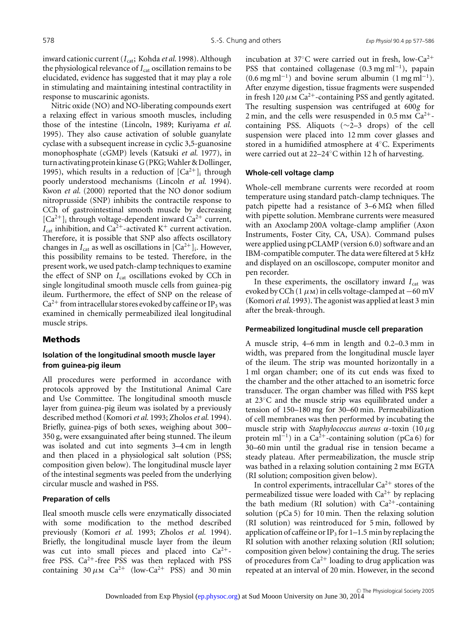inward cationic current (*I*<sub>cat</sub>; Kohda *et al.* 1998). Although the physiological relevance of  $I_{cat}$  oscillation remains to be elucidated, evidence has suggested that it may play a role in stimulating and maintaining intestinal contractility in response to muscarinic agonists.

Nitric oxide (NO) and NO-liberating compounds exert a relaxing effect in various smooth muscles, including those of the intestine (Lincoln, 1989; Kuriyama *et al.* 1995). They also cause activation of soluble guanylate cyclase with a subsequent increase in cyclic 3,5-guanosine monophosphate (cGMP) levels (Katsuki *et al.* 1977), in turn activating protein kinase G (PKG; Wahler & Dollinger, 1995), which results in a reduction of  $[Ca^{2+}]_i$  through poorly understood mechanisms (Lincoln *et al.* 1994). Kwon *et al.* (2000) reported that the NO donor sodium nitroprusside (SNP) inhibits the contractile response to CCh of gastrointestinal smooth muscle by decreasing  $[Ca^{2+}]$ <sub>i</sub> through voltage-dependent inward  $Ca^{2+}$  current,  $I_{\text{cat}}$  inhibition, and Ca<sup>2+</sup>-activated K<sup>+</sup> current activation. Therefore, it is possible that SNP also affects oscillatory changes in  $I_{cat}$  as well as oscillations in  $[Ca^{2+}]_i$ . However, this possibility remains to be tested. Therefore, in the present work, we used patch-clamp techniques to examine the effect of SNP on *I*<sub>cat</sub> oscillations evoked by CCh in single longitudinal smooth muscle cells from guinea-pig ileum. Furthermore, the effect of SNP on the release of  $Ca^{2+}$  from intracellular stores evoked by caffeine or IP<sub>3</sub> was examined in chemically permeabilized ileal longitudinal muscle strips.

## **Methods**

# **Isolation of the longitudinal smooth muscle layer from guinea-pig ileum**

All procedures were performed in accordance with protocols approved by the Institutional Animal Care and Use Committee. The longitudinal smooth muscle layer from guinea-pig ileum was isolated by a previously described method (Komori*et al.* 1993; Zholos*et al.* 1994). Briefly, guinea-pigs of both sexes, weighing about 300– 350 g, were exsanguinated after being stunned. The ileum was isolated and cut into segments 3–4 cm in length and then placed in a physiological salt solution (PSS; composition given below). The longitudinal muscle layer of the intestinal segments was peeled from the underlying circular muscle and washed in PSS.

## **Preparation of cells**

Ileal smooth muscle cells were enzymatically dissociated with some modification to the method described previously (Komori *et al.* 1993; Zholos *et al.* 1994). Briefly, the longitudinal muscle layer from the ileum was cut into small pieces and placed into  $Ca^{2+}$ free PSS.  $Ca^{2+}$ -free PSS was then replaced with PSS containing  $30 \mu \text{m}$  Ca<sup>2+</sup> (low-Ca<sup>2+</sup> PSS) and  $30 \text{ min}$  incubation at 37 $\degree$ C were carried out in fresh, low-Ca<sup>2+</sup> PSS that contained collagenase  $(0.3 \text{ mg ml}^{-1})$ , papain  $(0.6 \text{ mg ml}^{-1})$  and bovine serum albumin  $(1 \text{ mg ml}^{-1})$ . After enzyme digestion, tissue fragments were suspended in fresh 120  $\mu$ m Ca<sup>2+</sup>-containing PSS and gently agitated. The resulting suspension was centrifuged at 600*g* for 2 min, and the cells were resuspended in  $0.5$  mm  $Ca^{2+}$ containing PSS. Aliquots (∼2–3 drops) of the cell suspension were placed into 12 mm cover glasses and stored in a humidified atmosphere at 4◦C. Experiments were carried out at 22–24◦C within 12 h of harvesting.

#### **Whole-cell voltage clamp**

Whole-cell membrane currents were recorded at room temperature using standard patch-clamp techniques. The patch pipette had a resistance of  $3-6$  M $\Omega$  when filled with pipette solution. Membrane currents were measured with an Axoclamp 200A voltage-clamp amplifier (Axon Instruments, Foster City, CA, USA). Command pulses were applied using pCLAMP (version 6.0) software and an IBM-compatible computer. The data were filtered at 5 kHz and displayed on an oscilloscope, computer monitor and pen recorder.

In these experiments, the oscillatory inward *I*<sub>cat</sub> was evoked by CCh (1  $\mu$ m) in cells voltage-clamped at −60 mV (Komori*et al.* 1993). The agonist was applied at least 3 min after the break-through.

#### **Permeabilized longitudinal muscle cell preparation**

A muscle strip, 4–6 mm in length and 0.2–0.3 mm in width, was prepared from the longitudinal muscle layer of the ileum. The strip was mounted horizontally in a 1 ml organ chamber; one of its cut ends was fixed to the chamber and the other attached to an isometric force transducer. The organ chamber was filled with PSS kept at 23◦C and the muscle strip was equilibrated under a tension of 150–180 mg for 30–60 min. Permeabilization of cell membranes was then performed by incubating the muscle strip with *Staphylococcus aureus* α-toxin (10 µg protein ml<sup>-1</sup>) in a Ca<sup>2+</sup>-containing solution (pCa 6) for 30–60 min until the gradual rise in tension became a steady plateau. After permeabilization, the muscle strip was bathed in a relaxing solution containing 2 mm EGTA (RI solution; composition given below).

In control experiments, intracellular  $Ca^{2+}$  stores of the permeabilized tissue were loaded with  $Ca^{2+}$  by replacing the bath medium (RI solution) with  $Ca^{2+}$ -containing solution (pCa 5) for 10 min. Then the relaxing solution (RI solution) was reintroduced for 5 min, followed by application of caffeine or IP<sub>3</sub> for 1–1.5 min by replacing the RI solution with another relaxing solution (RII solution; composition given below) containing the drug. The series of procedures from  $Ca^{2+}$  loading to drug application was repeated at an interval of 20 min. However, in the second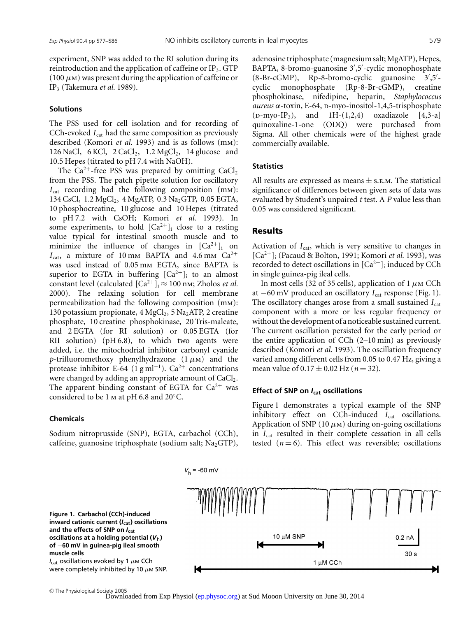experiment, SNP was added to the RI solution during its reintroduction and the application of caffeine or IP<sub>3</sub>. GTP  $(100 \mu)$  was present during the application of caffeine or IP3 (Takemura *et al.* 1989).

#### **Solutions**

The PSS used for cell isolation and for recording of CCh-evoked *I*<sub>cat</sub> had the same composition as previously described (Komori *et al.* 1993) and is as follows (mm): 126 NaCl, 6 KCl, 2 CaCl<sub>2</sub>, 1.2 MgCl<sub>2</sub>, 14 glucose and 10.5 Hepes (titrated to pH 7.4 with NaOH).

The  $Ca^{2+}$ -free PSS was prepared by omitting  $CaCl<sub>2</sub>$ from the PSS. The patch pipette solution for oscillatory  $I_{cat}$  recording had the following composition (mm): 134 CsCl,  $1.2 \text{ MgCl}_2$ ,  $4 \text{ MgATP}$ ,  $0.3 \text{ Na}_2$ GTP,  $0.05 \text{ EGTA}$ , 10 phosphocreatine, 10 glucose and 10 Hepes (titrated to pH 7.2 with CsOH; Komori *et al.* 1993). In some experiments, to hold  $[Ca^{2+}]_i$  close to a resting value typical for intestinal smooth muscle and to minimize the influence of changes in  $[Ca^{2+}]_i$  on  $I_{\text{cat}}$ , a mixture of 10 mm BAPTA and 4.6 mm Ca<sup>2+</sup> was used instead of 0.05 mm EGTA, since BAPTA is superior to EGTA in buffering  $[Ca^{2+}]_i$  to an almost constant level (calculated  $[Ca^{2+}]_i \approx 100$  nm; Zholos *et al.* 2000). The relaxing solution for cell membrane permeabilization had the following composition (mm): 130 potassium propionate, 4  $MgCl<sub>2</sub>$ , 5 Na<sub>2</sub>ATP, 2 creatine phosphate, 10 creatine phosphokinase, 20 Tris-maleate, and 2 EGTA (for RI solution) or 0.05 EGTA (for RII solution) (pH 6.8), to which two agents were added, i.e. the mitochodrial inhibitor carbonyl cyanide *p*-trifluoromethoxy phenylhydrazone  $(1 \mu M)$  and the protease inhibitor E-64 (1 g ml<sup>-1</sup>). Ca<sup>2+</sup> concentrations were changed by adding an appropriate amount of  $CaCl<sub>2</sub>$ . The apparent binding constant of EGTA for  $Ca^{2+}$  was considered to be 1 m at pH 6.8 and 20◦C.

### **Chemicals**

**muscle cells**

Sodium nitroprusside (SNP), EGTA, carbachol (CCh), caffeine, guanosine triphosphate (sodium salt;  $Na<sub>2</sub>GTP$ ), adenosine triphosphate (magnesium salt; MgATP), Hepes, BAPTA, 8-bromo-guanosine 3 ,5 -cyclic monophosphate (8-Br-cGMP), Rp-8-bromo-cyclic guanosine 3 ,5 cyclic monophosphate (Rp-8-Br-cGMP), creatine phosphokinase, nifedipine, heparin, *Staphylococcus aureus* α-toxin, E-64, d-myo-inositol-1,4,5-trisphosphate  $(p\text{-}myo\text{-}IP_3)$ , and  $1H-(1,2,4)$  oxadiazole  $[4,3-a]$ quinoxaline-1-one (ODQ) were purchased from Sigma. All other chemicals were of the highest grade commercially available.

### **Statistics**

All results are expressed as means  $\pm$  s.e.m. The statistical significance of differences between given sets of data was evaluated by Student's unpaired *t* test. A *P* value less than 0.05 was considered significant.

### **Results**

Activation of  $I_{cat}$ , which is very sensitive to changes in [Ca<sup>2</sup>+]i (Pacaud & Bolton, 1991; Komori *et al.* 1993), was recorded to detect oscillations in  $[Ca^{2+}]$ <sub>i</sub> induced by CCh in single guinea-pig ileal cells.

In most cells (32 of 35 cells), application of 1  $\mu$ M CCh at −60 mV produced an oscillatory *I*<sub>cat</sub> response (Fig. 1). The oscillatory changes arose from a small sustained *I*<sub>cat</sub> component with a more or less regular frequency or without the development of a noticeable sustained current. The current oscillation persisted for the early period or the entire application of CCh (2–10 min) as previously described (Komori *et al.* 1993). The oscillation frequency varied among different cells from 0.05 to 0.47 Hz, giving a mean value of  $0.17 \pm 0.02$  Hz ( $n = 32$ ).

#### **Effect of SNP on** *I***cat oscillations**

Figure 1 demonstrates a typical example of the SNP inhibitory effect on CCh-induced *I*<sub>cat</sub> oscillations. Application of SNP (10  $\mu$ m) during on-going oscillations in  $I_{\text{cat}}$  resulted in their complete cessation in all cells tested  $(n=6)$ . This effect was reversible; oscillations



<sup>C</sup> The Physiological Society 2005 Downloaded from Exp Physiol [\(ep.physoc.org\)](http://ep.physoc.org/) at Sud Mooon University on June 30, 2014

 $V_{h}$  = -60 mV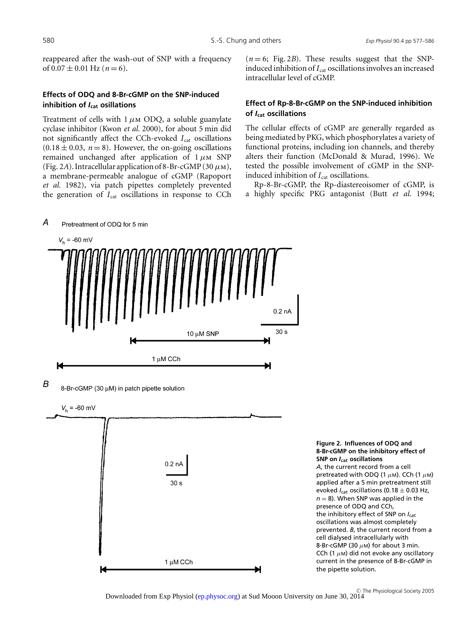reappeared after the wash-out of SNP with a frequency of  $0.07 \pm 0.01$  Hz ( $n = 6$ ).

# **Effects of ODQ and 8-Br-cGMP on the SNP-induced inhibition of** *I***cat osillations**

Treatment of cells with  $1 \mu$ m ODQ, a soluble guanylate cyclase inhibitor (Kwon *et al.* 2000), for about 5 min did not significantly affect the CCh-evoked  $I_{cat}$  oscillations  $(0.18 \pm 0.03, n = 8)$ . However, the on-going oscillations remained unchanged after application of  $1 \mu$ m SNP (Fig. 2A). Intracellular application of 8-Br-cGMP (30  $\mu$ m), a membrane-permeable analogue of cGMP (Rapoport *et al.* 1982), via patch pipettes completely prevented the generation of  $I_{cat}$  oscillations in response to CCh  $(n=6;$  Fig. 2*B*). These results suggest that the SNPinduced inhibition of  $I_{cat}$  oscillations involves an increased intracellular level of cGMP.

# **Effect of Rp-8-Br-cGMP on the SNP-induced inhibition of** *I***cat oscillations**

The cellular effects of cGMP are generally regarded as being mediated by PKG, which phosphorylates a variety of functional proteins, including ion channels, and thereby alters their function (McDonald & Murad, 1996). We tested the possible involvement of cGMP in the SNPinduced inhibition of  $I_{cat}$  oscillations.

Rp-8-Br-cGMP, the Rp-diastereoisomer of cGMP, is a highly specific PKG antagonist (Butt *et al.* 1994;





**Figure 2. Influences of ODQ and 8-Br-cGMP on the inhibitory effect of SNP on** *I***cat oscillations** *A*, the current record from a cell pretreated with ODQ (1  $\mu$ m). CCh (1  $\mu$ m) applied after a 5 min pretreatment still evoked *I*<sub>cat</sub> oscillations (0.18 ± 0.03 Hz,  $n = 8$ ). When SNP was applied in the presence of ODQ and CCh, the inhibitory effect of SNP on *I*cat oscillations was almost completely prevented. *B*, the current record from a cell dialysed intracellularly with 8-Br-cGMP (30  $\mu$ M) for about 3 min. CCh (1  $\mu$ m) did not evoke any oscillatory current in the presence of 8-Br-cGMP in the pipette solution.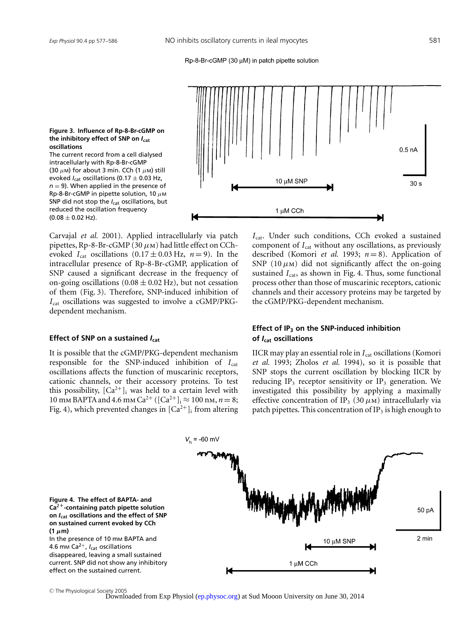#### Rp-8-Br-cGMP (30 uM) in patch pipette solution



**Figure 3. Influence of Rp-8-Br-cGMP on the inhibitory effect of SNP on** *I***cat oscillations**

The current record from a cell dialysed intracellularly with Rp-8-Br-cGMP (30  $\mu$ M) for about 3 min. CCh (1  $\mu$ M) still evoked  $I_{\text{cat}}$  oscillations (0.17  $\pm$  0.03 Hz,  $n = 9$ ). When applied in the presence of Rp-8-Br-cGMP in pipette solution, 10  $\mu$ M SNP did not stop the *I<sub>cat</sub>* oscillations, but reduced the oscillation frequency  $(0.08 \pm 0.02 \text{ Hz})$ .

Carvajal *et al.* 2001). Applied intracellularly via patch pipettes, Rp-8-Br-cGMP (30  $\mu$ m) had little effect on CChevoked  $I_{\text{cat}}$  oscillations  $(0.17 \pm 0.03 \text{ Hz}, n = 9)$ . In the intracellular presence of Rp-8-Br-cGMP, application of SNP caused a significant decrease in the frequency of on-going oscillations  $(0.08 \pm 0.02 \text{ Hz})$ , but not cessation of them (Fig. 3). Therefore, SNP-induced inhibition of *I*<sub>cat</sub> oscillations was suggested to involve a cGMP/PKGdependent mechanism.

#### **Effect of SNP on a sustained** *I***cat**

It is possible that the cGMP/PKG-dependent mechanism responsible for the SNP-induced inhibition of  $I_{cat}$ oscillations affects the function of muscarinic receptors, cationic channels, or their accessory proteins. To test this possibility,  $[Ca^{2+}]$ <sub>i</sub> was held to a certain level with 10 mm BAPTA and 4.6 mm Ca<sup>2+</sup> ( $[Ca^{2+}]_i \approx 100$  nm,  $n = 8$ ; Fig. 4), which prevented changes in  $[Ca^{2+}]$ <sub>i</sub> from altering *I*<sub>cat</sub>. Under such conditions, CCh evoked a sustained component of *I*<sub>cat</sub> without any oscillations, as previously described (Komori *et al.* 1993; *n* = 8). Application of SNP (10  $\mu$ m) did not significantly affect the on-going sustained  $I_{\text{cat}}$ , as shown in Fig. 4. Thus, some functional process other than those of muscarinic receptors, cationic channels and their accessory proteins may be targeted by the cGMP/PKG-dependent mechanism.

# **Effect of IP3 on the SNP-induced inhibition of** *I***cat oscillations**

IICR may play an essential role in *I*<sub>cat</sub> oscillations (Komori *et al.* 1993; Zholos *et al.* 1994), so it is possible that SNP stops the current oscillation by blocking IICR by reducing  $IP_3$  receptor sensitivity or  $IP_3$  generation. We investigated this possibility by applying a maximally effective concentration of IP<sub>3</sub> (30  $\mu$ m) intracellularly via patch pipettes. This concentration of  $IP_3$  is high enough to



<sup>C</sup> The Physiological Society 2005 Downloaded from Exp Physiol [\(ep.physoc.org\)](http://ep.physoc.org/) at Sud Mooon University on June 30, 2014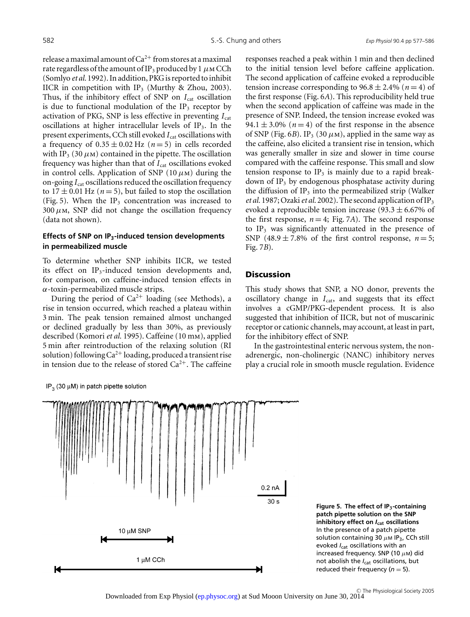release a maximal amount of  $Ca^{2+}$  from stores at a maximal rate regardless of the amount of IP<sub>3</sub> produced by 1  $\mu$ MCCh (Somlyo *et al.* 1992). In addition, PKG is reported to inhibit IICR in competition with IP<sub>3</sub> (Murthy & Zhou, 2003). Thus, if the inhibitory effect of SNP on  $I_{cat}$  oscillation is due to functional modulation of the  $IP_3$  receptor by activation of PKG, SNP is less effective in preventing  $I_{\text{cat}}$ oscillations at higher intracellular levels of  $IP_3$ . In the present experiments, CCh still evoked *I*<sub>cat</sub> oscillations with a frequency of  $0.35 \pm 0.02$  Hz ( $n = 5$ ) in cells recorded with IP<sub>3</sub> (30  $\mu$ m) contained in the pipette. The oscillation frequency was higher than that of *I*<sub>cat</sub> oscillations evoked in control cells. Application of SNP (10  $\mu$ m) during the on-going  $I_{\text{cat}}$  oscillations reduced the oscillation frequency to  $17 \pm 0.01$  Hz ( $n = 5$ ), but failed to stop the oscillation (Fig. 5). When the IP<sub>3</sub> concentration was increased to  $300 \mu$ m, SNP did not change the oscillation frequency (data not shown).

## **Effects of SNP on IP3-induced tension developments in permeabilized muscle**

To determine whether SNP inhibits IICR, we tested its effect on IP<sub>3</sub>-induced tension developments and, for comparison, on caffeine-induced tension effects in  $\alpha$ -toxin-permeabilized muscle strips.

During the period of  $Ca^{2+}$  loading (see Methods), a rise in tension occurred, which reached a plateau within 3 min. The peak tension remained almost unchanged or declined gradually by less than 30%, as previously described (Komori *et al.* 1995). Caffeine (10 mm), applied 5 min after reintroduction of the relaxing solution (RI solution) following  $Ca^{2+}$  loading, produced a transient rise in tension due to the release of stored  $Ca^{2+}$ . The caffeine

IP<sub>2</sub> (30  $\mu$ M) in patch pipette solution

responses reached a peak within 1 min and then declined to the initial tension level before caffeine application. The second application of caffeine evoked a reproducible tension increase corresponding to  $96.8 \pm 2.4\%$  ( $n = 4$ ) of the first response (Fig. 6*A*). This reproducibility held true when the second application of caffeine was made in the presence of SNP. Indeed, the tension increase evoked was 94.1  $\pm$  3.0% ( $n=4$ ) of the first response in the absence of SNP (Fig. 6*B*). IP<sub>3</sub> (30  $\mu$ m), applied in the same way as the caffeine, also elicited a transient rise in tension, which was generally smaller in size and slower in time course compared with the caffeine response. This small and slow tension response to  $IP_3$  is mainly due to a rapid breakdown of  $IP_3$  by endogenous phosphatase activity during the diffusion of  $IP_3$  into the permeabilized strip (Walker *et al.* 1987; Ozaki*et al.* 2002). The second application of IP3 evoked a reproducible tension increase  $(93.3 \pm 6.67\%)$  of the first response,  $n = 4$ ; Fig. 7*A*). The second response to  $IP_3$  was significantly attenuated in the presence of SNP  $(48.9 \pm 7.8\% \text{ of the first control response, } n=5;$ Fig. 7*B*).

## **Discussion**

This study shows that SNP, a NO donor, prevents the oscillatory change in  $I_{cat}$ , and suggests that its effect involves a cGMP/PKG-dependent process. It is also suggested that inhibition of IICR, but not of muscarinic receptor or cationic channels, may account, at least in part, for the inhibitory effect of SNP.

In the gastrointestinal enteric nervous system, the nonadrenergic, non-cholinergic (NANC) inhibitory nerves play a crucial role in smooth muscle regulation. Evidence



**Figure 5. The effect of IP3-containing patch pipette solution on the SNP inhibitory effect on** *I***cat oscillations** In the presence of a patch pipette solution containing 30  $\mu$ M IP<sub>3</sub>, CCh still evoked *I*<sub>cat</sub> oscillations with an increased frequency. SNP (10  $\mu$ M) did not abolish the *I*<sub>cat</sub> oscillations, but reduced their frequency  $(n = 5)$ .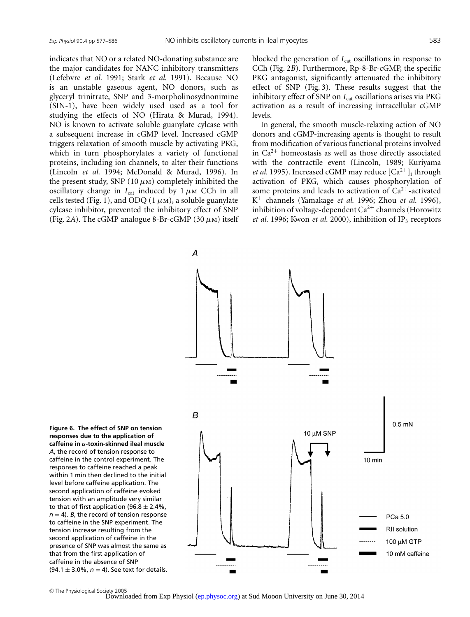indicates that NO or a related NO-donating substance are the major candidates for NANC inhibitory transmitters (Lefebvre *et al.* 1991; Stark *et al.* 1991). Because NO is an unstable gaseous agent, NO donors, such as glyceryl trinitrate, SNP and 3-morpholinosydnonimine (SIN-1), have been widely used used as a tool for studying the effects of NO (Hirata & Murad, 1994). NO is known to activate soluble guanylate cylcase with a subsequent increase in cGMP level. Increased cGMP triggers relaxation of smooth muscle by activating PKG, which in turn phosphorylates a variety of functional proteins, including ion channels, to alter their functions (Lincoln *et al.* 1994; McDonald & Murad, 1996). In the present study, SNP (10  $\mu$ m) completely inhibited the oscillatory change in  $I_{cat}$  induced by  $1 \mu$ m CCh in all cells tested (Fig. 1), and ODQ (1 $\mu$ m), a soluble guanylate cylcase inhibitor, prevented the inhibitory effect of SNP (Fig. 2A). The cGMP analogue 8-Br-cGMP (30  $\mu$ m) itself

 $\overline{A}$ 

blocked the generation of  $I_{\text{cat}}$  oscillations in response to CCh (Fig. 2*B*). Furthermore, Rp-8-Br-cGMP, the specific PKG antagonist, significantly attenuated the inhibitory effect of SNP (Fig. 3). These results suggest that the inhibitory effect of SNP on *I*<sub>cat</sub> oscillations arises via PKG activation as a result of increasing intracellular cGMP levels.

In general, the smooth muscle-relaxing action of NO donors and cGMP-increasing agents is thought to result from modification of various functional proteins involved in  $Ca^{2+}$  homeostasis as well as those directly associated with the contractile event (Lincoln, 1989; Kuriyama *et al.* 1995). Increased cGMP may reduce  $[Ca^{2+}]$ <sub>i</sub> through activation of PKG, which causes phosphorylation of some proteins and leads to activation of  $Ca^{2+}$ -activated K<sup>+</sup> channels (Yamakage *et al.* 1996; Zhou *et al.* 1996), inhibition of voltage-dependent  $Ca^{2+}$  channels (Horowitz *et al.* 1996; Kwon *et al.* 2000), inhibition of IP<sub>3</sub> receptors



**Figure 6. The effect of SNP on tension responses due to the application of caffeine in** α**-toxin-skinned ileal muscle** *A*, the record of tension response to caffeine in the control experiment. The responses to caffeine reached a peak within 1 min then declined to the initial level before caffeine application. The second application of caffeine evoked tension with an amplitude very similar to that of first application (96.8  $\pm$  2.4%,  $n = 4$ ). *B*, the record of tension response to caffeine in the SNP experiment. The tension increase resulting from the second application of caffeine in the presence of SNP was almost the same as that from the first application of caffeine in the absence of SNP (94.1  $\pm$  3.0%,  $n = 4$ ). See text for details.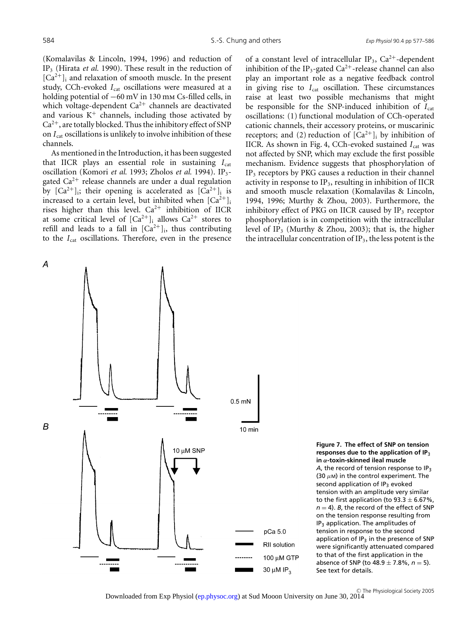(Komalavilas & Lincoln, 1994, 1996) and reduction of IP3 (Hirata *et al.* 1990). These result in the reduction of  $[Ca^{2+}]$ <sub>i</sub> and relaxation of smooth muscle. In the present study, CCh-evoked *I*<sub>cat</sub> oscillations were measured at a holding potential of −60 mV in 130 mm Cs-filled cells, in which voltage-dependent  $Ca^{2+}$  channels are deactivated and various  $K^+$  channels, including those activated by  $Ca<sup>2+</sup>$ , are totally blocked. Thus the inhibitory effect of SNP on *I*<sub>cat</sub> oscillations is unlikely to involve inhibition of these channels.

As mentioned in the Introduction, it has been suggested that IICR plays an essential role in sustaining  $I_{\text{cat}}$ oscillation (Komori *et al.* 1993; Zholos *et al.* 1994). IP3 gated  $Ca^{2+}$  release channels are under a dual regulation by  $[Ca^{2+}]_i$ ; their opening is accelerated as  $[Ca^{2+}]_i$  is increased to a certain level, but inhibited when  $[Ca^{2+}]$ rises higher than this level.  $Ca^{2+}$  inhibition of IICR at some critical level of  $|Ca^{2+}|$ ; allows  $Ca^{2+}$  stores to refill and leads to a fall in  $[Ca^{2+}]_i$ , thus contributing to the *I*<sub>cat</sub> oscillations. Therefore, even in the presence of a constant level of intracellular IP<sub>3</sub>,  $Ca^{2+}$ -dependent inhibition of the IP<sub>3</sub>-gated Ca<sup>2+</sup>-release channel can also play an important role as a negative feedback control in giving rise to  $I_{cat}$  oscillation. These circumstances raise at least two possible mechanisms that might be responsible for the SNP-induced inhibition of *I*<sub>cat</sub> oscillations: (1) functional modulation of CCh-operated cationic channels, their accessory proteins, or muscarinic receptors; and (2) reduction of  $\overline{[Ca^{2+}]}$ ; by inhibition of IICR. As shown in Fig. 4, CCh-evoked sustained *I*<sub>cat</sub> was not affected by SNP, which may exclude the first possible mechanism. Evidence suggests that phosphorylation of IP<sub>3</sub> receptors by PKG causes a reduction in their channel activity in response to  $IP_3$ , resulting in inhibition of IICR and smooth muscle relaxation (Komalavilas & Lincoln, 1994, 1996; Murthy & Zhou, 2003). Furthermore, the inhibitory effect of PKG on IICR caused by  $IP_3$  receptor phosphorylation is in competition with the intracellular level of IP<sub>3</sub> (Murthy & Zhou, 2003); that is, the higher the intracellular concentration of  $IP_3$ , the less potent is the



**Figure 7. The effect of SNP on tension responses due to the application of IP**<sup>3</sup> **in** α**-toxin-skinned ileal muscle** *A*, the record of tension response to IP3 (30  $\mu$ M) in the control experiment. The second application of  $IP_3$  evoked tension with an amplitude very similar to the first application (to 93.3  $\pm$  6.67%,  $n = 4$ ). *B*, the record of the effect of SNP on the tension response resulting from IP3 application. The amplitudes of tension in response to the second application of  $IP_3$  in the presence of SNP were significantly attenuated compared to that of the first application in the absence of SNP (to  $48.9 \pm 7.8$ %,  $n = 5$ ). See text for details.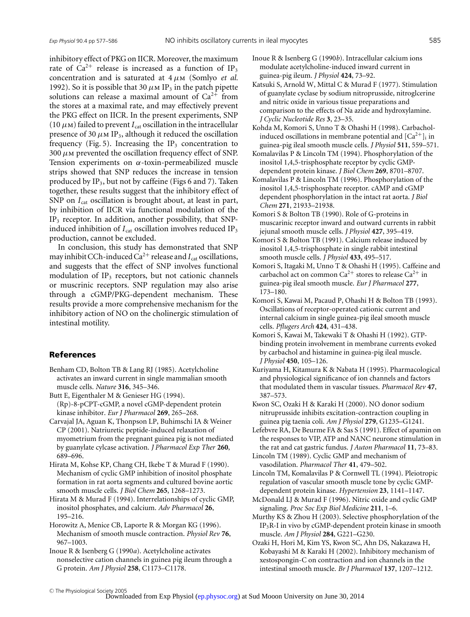inhibitory effect of PKG on IICR. Moreover, the maximum rate of  $Ca^{2+}$  release is increased as a function of IP<sub>3</sub> concentration and is saturated at  $4 \mu$ m (Somlyo *et al.*) 1992). So it is possible that 30  $\mu$ m IP<sub>3</sub> in the patch pipette solutions can release a maximal amount of  $Ca^{2+}$  from the stores at a maximal rate, and may effectively prevent the PKG effect on IICR. In the present experiments, SNP (10  $\mu$ m) failed to prevent  $I_{\text{cat}}$  oscillation in the intracellular presence of 30  $\mu$ m IP<sub>3</sub>, although it reduced the oscillation frequency (Fig. 5). Increasing the  $IP_3$  concentration to  $300 \mu$ M prevented the oscillation frequency effect of SNP. Tension experiments on  $\alpha$ -toxin-permeabilized muscle strips showed that SNP reduces the increase in tension produced by  $IP_3$ , but not by caffeine (Figs 6 and 7). Taken together, these results suggest that the inhibitory effect of SNP on *I*<sub>cat</sub> oscillation is brought about, at least in part, by inhibition of IICR via functional modulation of the IP3 receptor. In addition, another possibility, that SNPinduced inhibition of  $I_{cat}$  oscillation involves reduced  $IP_3$ production, cannot be excluded.

In conclusion, this study has demonstrated that SNP may inhibit CCh-induced  $Ca^{2+}$  release and  $I_{cat}$  oscillations, and suggests that the effect of SNP involves functional modulation of  $IP_3$  receptors, but not cationic channels or muscrinic receptors. SNP regulation may also arise through a cGMP/PKG-dependent mechanism. These results provide a more comprehensive mechanism for the inhibitory action of NO on the cholinergic stimulation of intestinal motility.

### **References**

Benham CD, Bolton TB & Lang RJ (1985). Acetylcholine activates an inward current in single mammalian smooth muscle cells. *Nature* **316**, 345–346.

Butt E, Eigenthaler M & Genieser HG (1994).

(Rp)-8-pCPT-cGMP, a novel cGMP-dependent protein kinase inhibitor. *Eur J Pharmacol* **269**, 265–268.

Carvajal JA, Aguan K, Thonpson LP, Buhimschi IA & Weiner CP (2001). Natriuretic peptide-induced relaxation of myometrium from the pregnant guinea pig is not mediated by guanylate cylcase activation. *J Pharmacol Exp Ther* **260**, 689–696.

Hirata M, Kohse KP, Chang CH, Ikebe T & Murad F (1990). Mechanism of cyclic GMP inhibition of inositol phosphate formation in rat aorta segments and cultured bovine aortic smooth muscle cells. *J Biol Chem* **265**, 1268–1273.

Hirata M & Murad F (1994). Interrelationships of cyclic GMP, inositol phosphates, and calcium. *Adv Pharmacol* **26**, 195–216.

Horowitz A, Menice CB, Laporte R & Morgan KG (1996). Mechanism of smooth muscle contraction. *Physiol Rev* **76**, 967–1003.

Inoue R & Isenberg G (1990*a*). Acetylcholine activates nonselective cation channels in guinea pig ileum through a G protein. *Am J Physiol* **258**, C1173–C1178.

Inoue R & Isenberg G (1990*b*). Intracellular calcium ions modulate acetylcholine-induced inward current in guinea-pig ileum. *J Physiol* **424**, 73–92.

- Katsuki S, Arnold W, Mittal C & Murad F (1977). Stimulation of guanylate cyclase by sodium nitroprusside, nitroglcerine and nitric oxide in various tissue preparations and comparison to the effects of Na azide and hydroxylamine. *J Cyclic Nucleotide Res* **3**, 23–35.
- Kohda M, Komori S, Unno T & Ohashi H (1998). Carbacholinduced oscillations in membrane potential and  $[Ca^{2+}]$  in guinea-pig ileal smooth muscle cells. *J Physiol* **511**, 559–571.
- Komalavilas P & Lincoln TM (1994). Phosphorylation of the inositol 1,4,5-trisphosphate receptor by cyclic GMPdependent protein kinase. *J Biol Chem* **269**, 8701–8707.

Komalavilas P & Lincoln TM (1996). Phosphorylation of the inositol 1,4,5-trisphosphate receptor. cAMP and cGMP dependent phosphorylation in the intact rat aorta. *J Biol Chem* **271**, 21933–21938.

Komori S & Bolton TB (1990). Role of G-proteins in muscarinic receptor inward and outward currents in rabbit jejunal smooth muscle cells. *J Physiol* **427**, 395–419.

- Komori S & Bolton TB (1991). Calcium release induced by inositol 1,4,5-trisphosphate in single rabbit intestinal smooth muscle cells. *J Physiol* **433**, 495–517.
- Komori S, Itagaki M, Unno T & Ohashi H (1995). Caffeine and carbachol act on common  $Ca^{2+}$  stores to release  $Ca^{2+}$  in guinea-pig ileal smooth muscle. *Eur J Pharmacol* **277**, 173–180.
- Komori S, Kawai M, Pacaud P, Ohashi H & Bolton TB (1993). Oscillations of receptor-operated cationic current and internal calcium in single guinea-pig ileal smooth muscle cells. *Pflugers Arch* **424**, 431–438.
- Komori S, Kawai M, Takewaki T & Ohashi H (1992). GTPbinding protein involvement in membrane currents evoked by carbachol and histamine in guinea-pig ileal muscle. *J Physiol* **450**, 105–126.
- Kuriyama H, Kitamura K & Nabata H (1995). Pharmacological and physiological significance of ion channels and factors that modulated them in vascular tissues. *Pharmacol Rev* **47**, 387–573.
- Kwon SC, Ozaki H & Karaki H (2000). NO donor sodium nitruprusside inhibits excitation-contraction coupling in guinea pig taenia coli. *Am J Physiol* **279**, G1235–G1241.

Lefebvre RA, De Beurme FA & Sas S (1991). Effect of apamin on the responses to VIP, ATP and NANC neurone stimulation in the rat and cat gastric fundus. *J Auton Pharmacol* **11**, 73–83.

Lincoln TM (1989). Cyclic GMP and mechanism of vasodilation. *Pharmacol Ther* **41**, 479–502.

Lincoln TM, Komalavilas P & Cornwell TL (1994). Pleiotropic regulation of vascular smooth muscle tone by cyclic GMPdependent protein kinase. *Hypertension* **23**, 1141–1147.

- McDonald LJ & Murad F (1996). Nitric oxide and cyclic GMP signaling. *Proc Soc Exp Biol Medicine* **211**, 1–6.
- Murthy KS & Zhou H (2003). Selective phosphorylation of the IP3R-I in vivo by cGMP-dependent protein kinase in smooth muscle. *Am J Physiol* **284**, G221–G230.

Ozaki H, Hori M, Kim YS, Kwon SC, Ahn DS, Nakazawa H, Kobayashi M & Karaki H (2002). Inhibitory mechanism of xestospongin-C on contraction and ion channels in the intestinal smooth muscle. *Br J Pharmacol* **137**, 1207–1212.